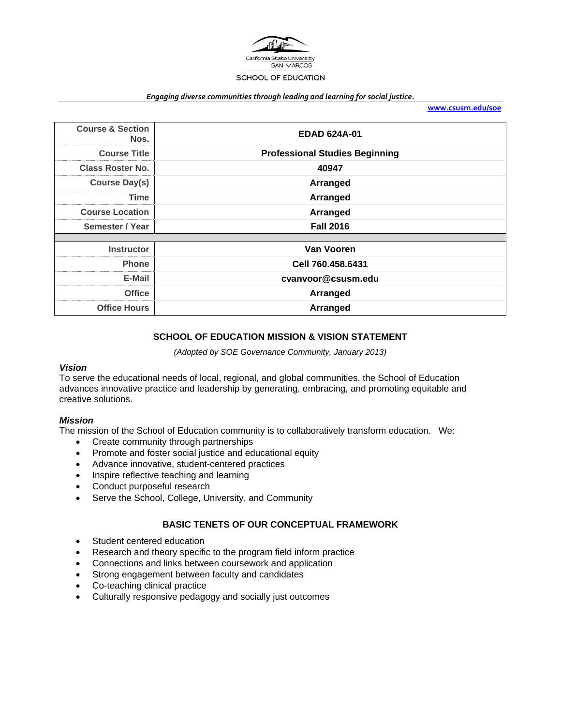

#### *Engaging diverse communities through leading and learning for social justice.*

**www.csusm.edu/soe**

| <b>Course &amp; Section</b><br>Nos. | <b>EDAD 624A-01</b>                   |  |  |
|-------------------------------------|---------------------------------------|--|--|
| <b>Course Title</b>                 | <b>Professional Studies Beginning</b> |  |  |
| <b>Class Roster No.</b>             | 40947                                 |  |  |
| <b>Course Day(s)</b>                | Arranged                              |  |  |
| <b>Time</b>                         | Arranged                              |  |  |
| <b>Course Location</b>              | Arranged                              |  |  |
| Semester / Year                     | <b>Fall 2016</b>                      |  |  |
|                                     |                                       |  |  |
| <b>Instructor</b>                   | Van Vooren                            |  |  |
| <b>Phone</b>                        | Cell 760.458.6431                     |  |  |
| E-Mail                              | cvanvoor@csusm.edu                    |  |  |
| <b>Office</b>                       | Arranged                              |  |  |
| <b>Office Hours</b>                 | Arranged                              |  |  |

# **SCHOOL OF EDUCATION MISSION & VISION STATEMENT**

*(Adopted by SOE Governance Community, January 2013)* 

#### *Vision*

To serve the educational needs of local, regional, and global communities, the School of Education advances innovative practice and leadership by generating, embracing, and promoting equitable and creative solutions.

### *Mission*

The mission of the School of Education community is to collaboratively transform education. We:

- Create community through partnerships
- Promote and foster social justice and educational equity
- Advance innovative, student-centered practices
- Inspire reflective teaching and learning
- Conduct purposeful research
- Serve the School, College, University, and Community

# **BASIC TENETS OF OUR CONCEPTUAL FRAMEWORK**

- Student centered education
- Research and theory specific to the program field inform practice
- Connections and links between coursework and application
- Strong engagement between faculty and candidates
- Co-teaching clinical practice
- Culturally responsive pedagogy and socially just outcomes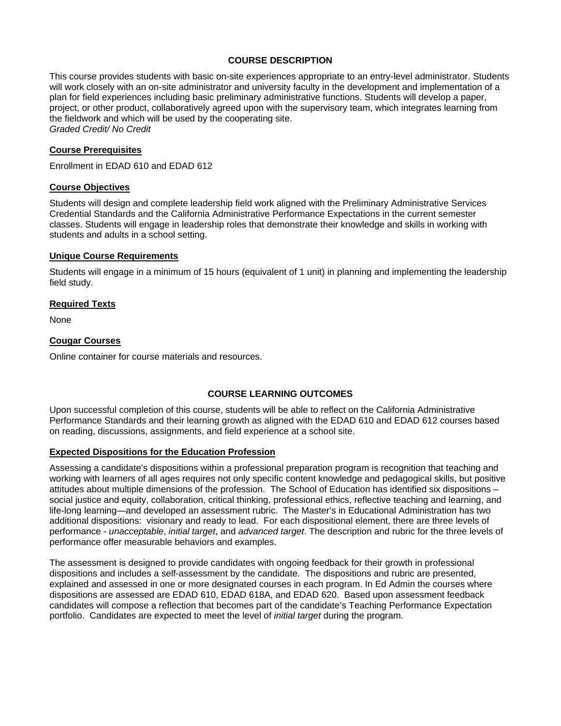# **COURSE DESCRIPTION**

This course provides students with basic on-site experiences appropriate to an entry-level administrator. Students will work closely with an on-site administrator and university faculty in the development and implementation of a plan for field experiences including basic preliminary administrative functions. Students will develop a paper, project, or other product, collaboratively agreed upon with the supervisory team, which integrates learning from the fieldwork and which will be used by the cooperating site. *Graded Credit/ No Credit* 

### **Course Prerequisites**

Enrollment in EDAD 610 and EDAD 612

### **Course Objectives**

Students will design and complete leadership field work aligned with the Preliminary Administrative Services Credential Standards and the California Administrative Performance Expectations in the current semester classes. Students will engage in leadership roles that demonstrate their knowledge and skills in working with students and adults in a school setting.

#### **Unique Course Requirements**

Students will engage in a minimum of 15 hours (equivalent of 1 unit) in planning and implementing the leadership field study.

#### **Required Texts**

None

### **Cougar Courses**

Online container for course materials and resources.

### **COURSE LEARNING OUTCOMES**

Upon successful completion of this course, students will be able to reflect on the California Administrative Performance Standards and their learning growth as aligned with the EDAD 610 and EDAD 612 courses based on reading, discussions, assignments, and field experience at a school site.

### **Expected Dispositions for the Education Profession**

Assessing a candidate's dispositions within a professional preparation program is recognition that teaching and working with learners of all ages requires not only specific content knowledge and pedagogical skills, but positive attitudes about multiple dimensions of the profession. The School of Education has identified six dispositions – social justice and equity, collaboration, critical thinking, professional ethics, reflective teaching and learning, and life-long learning—and developed an assessment rubric. The Master's in Educational Administration has two additional dispositions: visionary and ready to lead. For each dispositional element, there are three levels of performance - *unacceptable*, *initial target*, and *advanced target*. The description and rubric for the three levels of performance offer measurable behaviors and examples.

The assessment is designed to provide candidates with ongoing feedback for their growth in professional dispositions and includes a self-assessment by the candidate. The dispositions and rubric are presented, explained and assessed in one or more designated courses in each program. In Ed Admin the courses where dispositions are assessed are EDAD 610, EDAD 618A, and EDAD 620. Based upon assessment feedback candidates will compose a reflection that becomes part of the candidate's Teaching Performance Expectation portfolio. Candidates are expected to meet the level of *initial target* during the program.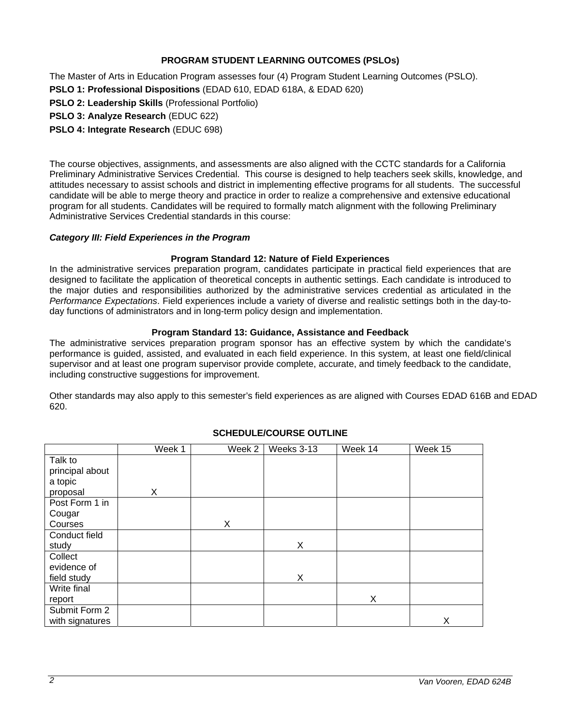# **PROGRAM STUDENT LEARNING OUTCOMES (PSLOs)**

The Master of Arts in Education Program assesses four (4) Program Student Learning Outcomes (PSLO).

**PSLO 1: Professional Dispositions** (EDAD 610, EDAD 618A, & EDAD 620)

**PSLO 2: Leadership Skills** (Professional Portfolio)

**PSLO 3: Analyze Research** (EDUC 622)

**PSLO 4: Integrate Research** (EDUC 698)

The course objectives, assignments, and assessments are also aligned with the CCTC standards for a California Preliminary Administrative Services Credential. This course is designed to help teachers seek skills, knowledge, and attitudes necessary to assist schools and district in implementing effective programs for all students. The successful candidate will be able to merge theory and practice in order to realize a comprehensive and extensive educational program for all students. Candidates will be required to formally match alignment with the following Preliminary Administrative Services Credential standards in this course:

# *Category III: Field Experiences in the Program*

# **Program Standard 12: Nature of Field Experiences**

In the administrative services preparation program, candidates participate in practical field experiences that are designed to facilitate the application of theoretical concepts in authentic settings. Each candidate is introduced to the major duties and responsibilities authorized by the administrative services credential as articulated in the *Performance Expectations*. Field experiences include a variety of diverse and realistic settings both in the day-today functions of administrators and in long-term policy design and implementation.

# **Program Standard 13: Guidance, Assistance and Feedback**

The administrative services preparation program sponsor has an effective system by which the candidate's performance is guided, assisted, and evaluated in each field experience. In this system, at least one field/clinical supervisor and at least one program supervisor provide complete, accurate, and timely feedback to the candidate, including constructive suggestions for improvement.

Other standards may also apply to this semester's field experiences as are aligned with Courses EDAD 616B and EDAD 620.

|                 | Week 1 | Week 2 | Weeks 3-13 | Week 14 | Week 15 |
|-----------------|--------|--------|------------|---------|---------|
| Talk to         |        |        |            |         |         |
| principal about |        |        |            |         |         |
| a topic         |        |        |            |         |         |
| proposal        | Χ      |        |            |         |         |
| Post Form 1 in  |        |        |            |         |         |
| Cougar          |        |        |            |         |         |
| Courses         |        | X      |            |         |         |
| Conduct field   |        |        |            |         |         |
| study           |        |        | X          |         |         |
| Collect         |        |        |            |         |         |
| evidence of     |        |        |            |         |         |
| field study     |        |        | X          |         |         |
| Write final     |        |        |            |         |         |
| report          |        |        |            | X       |         |
| Submit Form 2   |        |        |            |         |         |
| with signatures |        |        |            |         | Х       |

# **SCHEDULE/COURSE OUTLINE**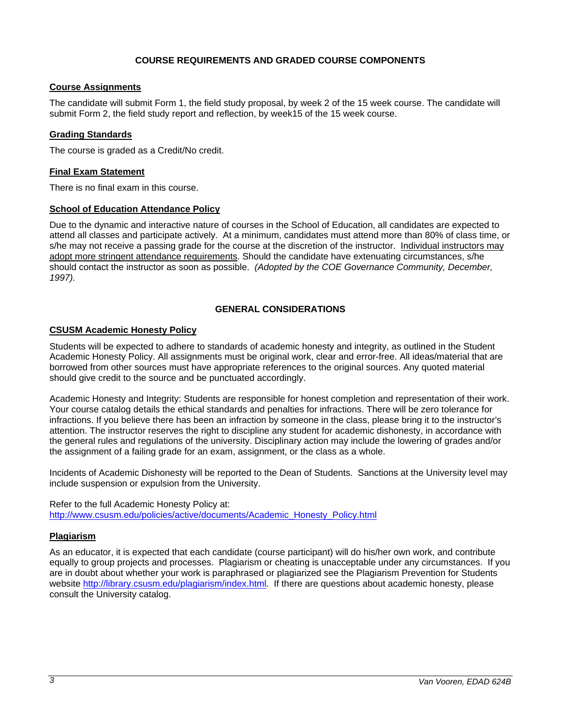# **COURSE REQUIREMENTS AND GRADED COURSE COMPONENTS**

# **Course Assignments**

The candidate will submit Form 1, the field study proposal, by week 2 of the 15 week course. The candidate will submit Form 2, the field study report and reflection, by week15 of the 15 week course.

# **Grading Standards**

The course is graded as a Credit/No credit.

# **Final Exam Statement**

There is no final exam in this course.

# **School of Education Attendance Policy**

Due to the dynamic and interactive nature of courses in the School of Education, all candidates are expected to attend all classes and participate actively. At a minimum, candidates must attend more than 80% of class time, or s/he may not receive a passing grade for the course at the discretion of the instructor. Individual instructors may adopt more stringent attendance requirements. Should the candidate have extenuating circumstances, s/he should contact the instructor as soon as possible. *(Adopted by the COE Governance Community, December, 1997).*

# **GENERAL CONSIDERATIONS**

# **CSUSM Academic Honesty Policy**

Students will be expected to adhere to standards of academic honesty and integrity, as outlined in the Student Academic Honesty Policy. All assignments must be original work, clear and error-free. All ideas/material that are borrowed from other sources must have appropriate references to the original sources. Any quoted material should give credit to the source and be punctuated accordingly.

Academic Honesty and Integrity: Students are responsible for honest completion and representation of their work. Your course catalog details the ethical standards and penalties for infractions. There will be zero tolerance for infractions. If you believe there has been an infraction by someone in the class, please bring it to the instructor's attention. The instructor reserves the right to discipline any student for academic dishonesty, in accordance with the general rules and regulations of the university. Disciplinary action may include the lowering of grades and/or the assignment of a failing grade for an exam, assignment, or the class as a whole.

Incidents of Academic Dishonesty will be reported to the Dean of Students. Sanctions at the University level may include suspension or expulsion from the University.

Refer to the full Academic Honesty Policy at: http://www.csusm.edu/policies/active/documents/Academic\_Honesty\_Policy.html

### **Plagiarism**

As an educator, it is expected that each candidate (course participant) will do his/her own work, and contribute equally to group projects and processes. Plagiarism or cheating is unacceptable under any circumstances. If you are in doubt about whether your work is paraphrased or plagiarized see the Plagiarism Prevention for Students website http://library.csusm.edu/plagiarism/index.html. If there are questions about academic honesty, please consult the University catalog.